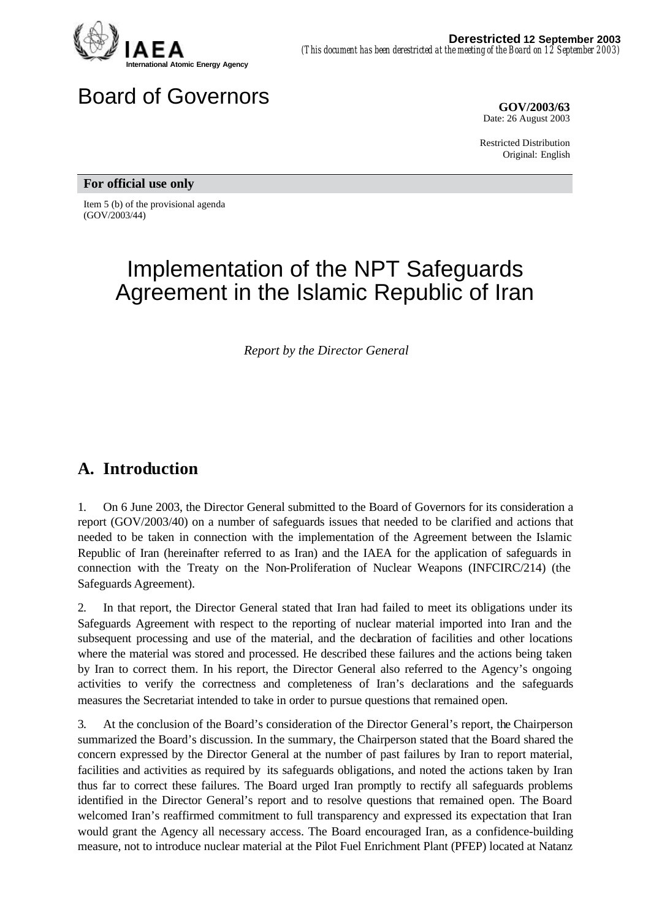

# Board of Governors **GOV/2003/63**

Date: 26 August 2003

Restricted Distribution Original: English

**For official use only**

Item 5 (b) of the provisional agenda (GOV/2003/44)

# Implementation of the NPT Safeguards Agreement in the Islamic Republic of Iran

*Report by the Director General*

## **A. Introduction**

1. On 6 June 2003, the Director General submitted to the Board of Governors for its consideration a report (GOV/2003/40) on a number of safeguards issues that needed to be clarified and actions that needed to be taken in connection with the implementation of the Agreement between the Islamic Republic of Iran (hereinafter referred to as Iran) and the IAEA for the application of safeguards in connection with the Treaty on the Non-Proliferation of Nuclear Weapons (INFCIRC/214) (the Safeguards Agreement).

2. In that report, the Director General stated that Iran had failed to meet its obligations under its Safeguards Agreement with respect to the reporting of nuclear material imported into Iran and the subsequent processing and use of the material, and the declaration of facilities and other locations where the material was stored and processed. He described these failures and the actions being taken by Iran to correct them. In his report, the Director General also referred to the Agency's ongoing activities to verify the correctness and completeness of Iran's declarations and the safeguards measures the Secretariat intended to take in order to pursue questions that remained open.

3. At the conclusion of the Board's consideration of the Director General's report, the Chairperson summarized the Board's discussion. In the summary, the Chairperson stated that the Board shared the concern expressed by the Director General at the number of past failures by Iran to report material, facilities and activities as required by its safeguards obligations, and noted the actions taken by Iran thus far to correct these failures. The Board urged Iran promptly to rectify all safeguards problems identified in the Director General's report and to resolve questions that remained open. The Board welcomed Iran's reaffirmed commitment to full transparency and expressed its expectation that Iran would grant the Agency all necessary access. The Board encouraged Iran, as a confidence-building measure, not to introduce nuclear material at the Pilot Fuel Enrichment Plant (PFEP) located at Natanz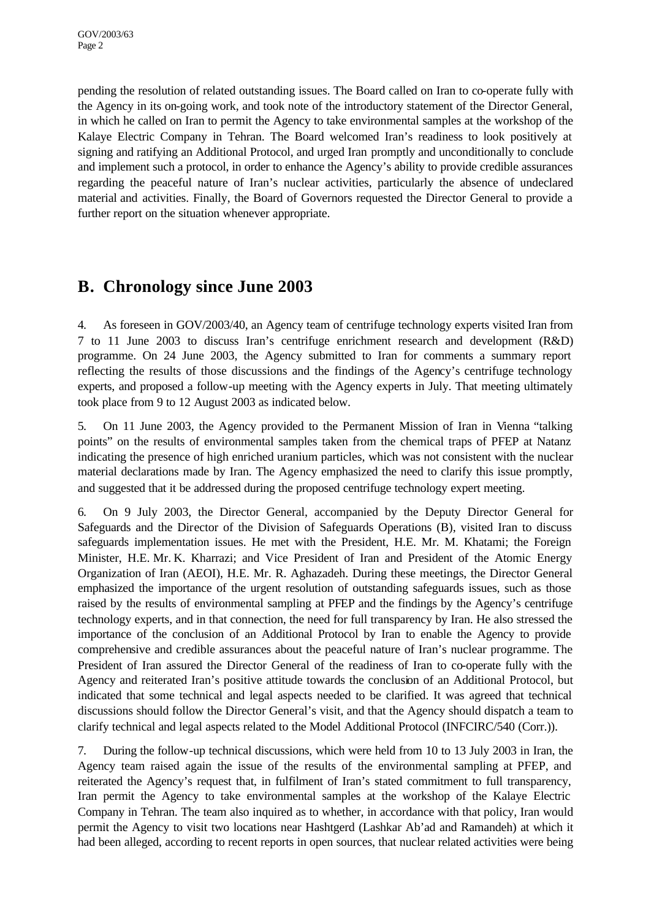pending the resolution of related outstanding issues. The Board called on Iran to co-operate fully with the Agency in its on-going work, and took note of the introductory statement of the Director General, in which he called on Iran to permit the Agency to take environmental samples at the workshop of the Kalaye Electric Company in Tehran. The Board welcomed Iran's readiness to look positively at signing and ratifying an Additional Protocol, and urged Iran promptly and unconditionally to conclude and implement such a protocol, in order to enhance the Agency's ability to provide credible assurances regarding the peaceful nature of Iran's nuclear activities, particularly the absence of undeclared material and activities. Finally, the Board of Governors requested the Director General to provide a further report on the situation whenever appropriate.

## **B. Chronology since June 2003**

4. As foreseen in GOV/2003/40, an Agency team of centrifuge technology experts visited Iran from 7 to 11 June 2003 to discuss Iran's centrifuge enrichment research and development (R&D) programme. On 24 June 2003, the Agency submitted to Iran for comments a summary report reflecting the results of those discussions and the findings of the Agency's centrifuge technology experts, and proposed a follow-up meeting with the Agency experts in July. That meeting ultimately took place from 9 to 12 August 2003 as indicated below.

5. On 11 June 2003, the Agency provided to the Permanent Mission of Iran in Vienna "talking points" on the results of environmental samples taken from the chemical traps of PFEP at Natanz indicating the presence of high enriched uranium particles, which was not consistent with the nuclear material declarations made by Iran. The Agency emphasized the need to clarify this issue promptly, and suggested that it be addressed during the proposed centrifuge technology expert meeting.

6. On 9 July 2003, the Director General, accompanied by the Deputy Director General for Safeguards and the Director of the Division of Safeguards Operations (B), visited Iran to discuss safeguards implementation issues. He met with the President, H.E. Mr. M. Khatami; the Foreign Minister, H.E. Mr. K. Kharrazi; and Vice President of Iran and President of the Atomic Energy Organization of Iran (AEOI), H.E. Mr. R. Aghazadeh. During these meetings, the Director General emphasized the importance of the urgent resolution of outstanding safeguards issues, such as those raised by the results of environmental sampling at PFEP and the findings by the Agency's centrifuge technology experts, and in that connection, the need for full transparency by Iran. He also stressed the importance of the conclusion of an Additional Protocol by Iran to enable the Agency to provide comprehensive and credible assurances about the peaceful nature of Iran's nuclear programme. The President of Iran assured the Director General of the readiness of Iran to co-operate fully with the Agency and reiterated Iran's positive attitude towards the conclusion of an Additional Protocol, but indicated that some technical and legal aspects needed to be clarified. It was agreed that technical discussions should follow the Director General's visit, and that the Agency should dispatch a team to clarify technical and legal aspects related to the Model Additional Protocol (INFCIRC/540 (Corr.)).

7. During the follow-up technical discussions, which were held from 10 to 13 July 2003 in Iran, the Agency team raised again the issue of the results of the environmental sampling at PFEP, and reiterated the Agency's request that, in fulfilment of Iran's stated commitment to full transparency, Iran permit the Agency to take environmental samples at the workshop of the Kalaye Electric Company in Tehran. The team also inquired as to whether, in accordance with that policy, Iran would permit the Agency to visit two locations near Hashtgerd (Lashkar Ab'ad and Ramandeh) at which it had been alleged, according to recent reports in open sources, that nuclear related activities were being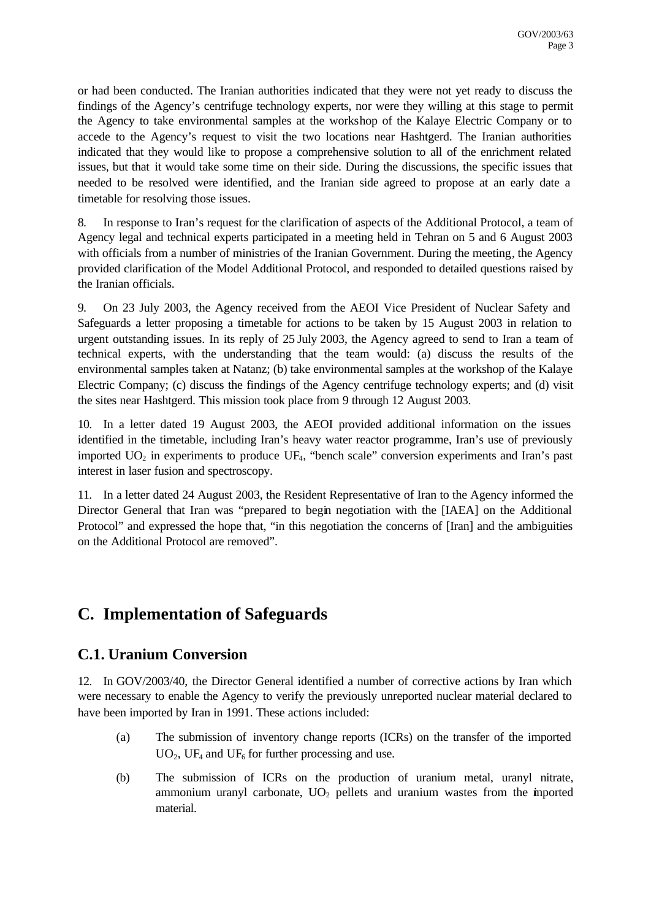or had been conducted. The Iranian authorities indicated that they were not yet ready to discuss the findings of the Agency's centrifuge technology experts, nor were they willing at this stage to permit the Agency to take environmental samples at the workshop of the Kalaye Electric Company or to accede to the Agency's request to visit the two locations near Hashtgerd. The Iranian authorities indicated that they would like to propose a comprehensive solution to all of the enrichment related issues, but that it would take some time on their side. During the discussions, the specific issues that needed to be resolved were identified, and the Iranian side agreed to propose at an early date a timetable for resolving those issues.

8. In response to Iran's request for the clarification of aspects of the Additional Protocol, a team of Agency legal and technical experts participated in a meeting held in Tehran on 5 and 6 August 2003 with officials from a number of ministries of the Iranian Government. During the meeting, the Agency provided clarification of the Model Additional Protocol, and responded to detailed questions raised by the Iranian officials.

9. On 23 July 2003, the Agency received from the AEOI Vice President of Nuclear Safety and Safeguards a letter proposing a timetable for actions to be taken by 15 August 2003 in relation to urgent outstanding issues. In its reply of 25 July 2003, the Agency agreed to send to Iran a team of technical experts, with the understanding that the team would: (a) discuss the results of the environmental samples taken at Natanz; (b) take environmental samples at the workshop of the Kalaye Electric Company; (c) discuss the findings of the Agency centrifuge technology experts; and (d) visit the sites near Hashtgerd. This mission took place from 9 through 12 August 2003.

10. In a letter dated 19 August 2003, the AEOI provided additional information on the issues identified in the timetable, including Iran's heavy water reactor programme, Iran's use of previously imported  $UO<sub>2</sub>$  in experiments to produce  $UF<sub>4</sub>$ , "bench scale" conversion experiments and Iran's past interest in laser fusion and spectroscopy.

11. In a letter dated 24 August 2003, the Resident Representative of Iran to the Agency informed the Director General that Iran was "prepared to begin negotiation with the [IAEA] on the Additional Protocol" and expressed the hope that, "in this negotiation the concerns of [Iran] and the ambiguities on the Additional Protocol are removed".

# **C. Implementation of Safeguards**

## **C.1. Uranium Conversion**

12. In GOV/2003/40, the Director General identified a number of corrective actions by Iran which were necessary to enable the Agency to verify the previously unreported nuclear material declared to have been imported by Iran in 1991. These actions included:

- (a) The submission of inventory change reports (ICRs) on the transfer of the imported  $UO<sub>2</sub>$ , UF<sub>4</sub> and UF<sub>6</sub> for further processing and use.
- (b) The submission of ICRs on the production of uranium metal, uranyl nitrate, ammonium uranyl carbonate,  $UO<sub>2</sub>$  pellets and uranium wastes from the imported material.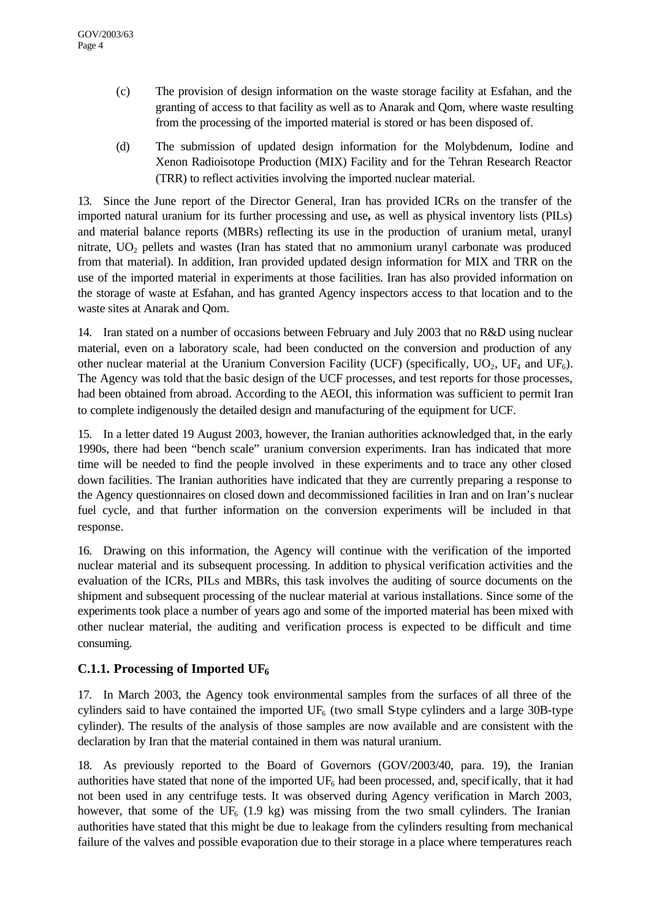- (c) The provision of design information on the waste storage facility at Esfahan, and the granting of access to that facility as well as to Anarak and Qom, where waste resulting from the processing of the imported material is stored or has been disposed of.
- (d) The submission of updated design information for the Molybdenum, Iodine and Xenon Radioisotope Production (MIX) Facility and for the Tehran Research Reactor (TRR) to reflect activities involving the imported nuclear material.

13. Since the June report of the Director General, Iran has provided ICRs on the transfer of the imported natural uranium for its further processing and use**,** as well as physical inventory lists (PILs) and material balance reports (MBRs) reflecting its use in the production of uranium metal, uranyl nitrate,  $UO<sub>2</sub>$  pellets and wastes (Iran has stated that no ammonium uranyl carbonate was produced from that material). In addition, Iran provided updated design information for MIX and TRR on the use of the imported material in experiments at those facilities. Iran has also provided information on the storage of waste at Esfahan, and has granted Agency inspectors access to that location and to the waste sites at Anarak and Qom.

14. Iran stated on a number of occasions between February and July 2003 that no R&D using nuclear material, even on a laboratory scale, had been conducted on the conversion and production of any other nuclear material at the Uranium Conversion Facility (UCF) (specifically,  $UO_2$ , UF<sub>4</sub> and UF<sub>6</sub>). The Agency was told that the basic design of the UCF processes, and test reports for those processes, had been obtained from abroad. According to the AEOI, this information was sufficient to permit Iran to complete indigenously the detailed design and manufacturing of the equipment for UCF.

15. In a letter dated 19 August 2003, however, the Iranian authorities acknowledged that, in the early 1990s, there had been "bench scale" uranium conversion experiments. Iran has indicated that more time will be needed to find the people involved in these experiments and to trace any other closed down facilities. The Iranian authorities have indicated that they are currently preparing a response to the Agency questionnaires on closed down and decommissioned facilities in Iran and on Iran's nuclear fuel cycle, and that further information on the conversion experiments will be included in that response.

16. Drawing on this information, the Agency will continue with the verification of the imported nuclear material and its subsequent processing. In addition to physical verification activities and the evaluation of the ICRs, PILs and MBRs, this task involves the auditing of source documents on the shipment and subsequent processing of the nuclear material at various installations. Since some of the experiments took place a number of years ago and some of the imported material has been mixed with other nuclear material, the auditing and verification process is expected to be difficult and time consuming.

#### **C.1.1. Processing of Imported UF<sup>6</sup>**

17. In March 2003, the Agency took environmental samples from the surfaces of all three of the cylinders said to have contained the imported  $UF_6$  (two small S-type cylinders and a large 30B-type cylinder). The results of the analysis of those samples are now available and are consistent with the declaration by Iran that the material contained in them was natural uranium.

18. As previously reported to the Board of Governors (GOV/2003/40, para. 19), the Iranian authorities have stated that none of the imported  $UF<sub>6</sub>$  had been processed, and, specifically, that it had not been used in any centrifuge tests. It was observed during Agency verification in March 2003, however, that some of the UF<sub>6</sub> (1.9 kg) was missing from the two small cylinders. The Iranian authorities have stated that this might be due to leakage from the cylinders resulting from mechanical failure of the valves and possible evaporation due to their storage in a place where temperatures reach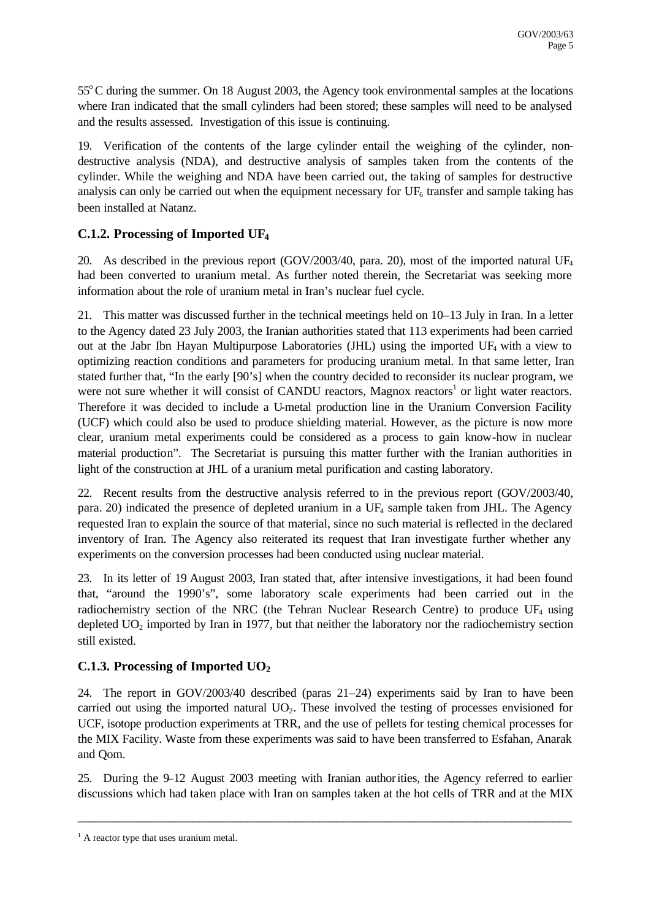55<sup>°</sup>C during the summer. On 18 August 2003, the Agency took environmental samples at the locations where Iran indicated that the small cylinders had been stored; these samples will need to be analysed and the results assessed. Investigation of this issue is continuing.

19. Verification of the contents of the large cylinder entail the weighing of the cylinder, nondestructive analysis (NDA), and destructive analysis of samples taken from the contents of the cylinder. While the weighing and NDA have been carried out, the taking of samples for destructive analysis can only be carried out when the equipment necessary for  $UF_6$  transfer and sample taking has been installed at Natanz.

#### **C.1.2. Processing of Imported UF<sup>4</sup>**

20. As described in the previous report (GOV/2003/40, para. 20), most of the imported natural UF<sub>4</sub> had been converted to uranium metal. As further noted therein, the Secretariat was seeking more information about the role of uranium metal in Iran's nuclear fuel cycle.

21. This matter was discussed further in the technical meetings held on 10–13 July in Iran. In a letter to the Agency dated 23 July 2003, the Iranian authorities stated that 113 experiments had been carried out at the Jabr Ibn Hayan Multipurpose Laboratories (JHL) using the imported UF4 with a view to optimizing reaction conditions and parameters for producing uranium metal. In that same letter, Iran stated further that, "In the early [90's] when the country decided to reconsider its nuclear program, we were not sure whether it will consist of CANDU reactors, Magnox reactors<sup>1</sup> or light water reactors. Therefore it was decided to include a U-metal production line in the Uranium Conversion Facility (UCF) which could also be used to produce shielding material. However, as the picture is now more clear, uranium metal experiments could be considered as a process to gain know-how in nuclear material production". The Secretariat is pursuing this matter further with the Iranian authorities in light of the construction at JHL of a uranium metal purification and casting laboratory.

22. Recent results from the destructive analysis referred to in the previous report (GOV/2003/40, para. 20) indicated the presence of depleted uranium in a UF4 sample taken from JHL. The Agency requested Iran to explain the source of that material, since no such material is reflected in the declared inventory of Iran. The Agency also reiterated its request that Iran investigate further whether any experiments on the conversion processes had been conducted using nuclear material.

23. In its letter of 19 August 2003, Iran stated that, after intensive investigations, it had been found that, "around the 1990's", some laboratory scale experiments had been carried out in the radiochemistry section of the NRC (the Tehran Nuclear Research Centre) to produce  $UF_4$  using depleted  $UO<sub>2</sub>$  imported by Iran in 1977, but that neither the laboratory nor the radiochemistry section still existed.

#### **C.1.3. Processing of Imported UO<sup>2</sup>**

24. The report in GOV/2003/40 described (paras 21–24) experiments said by Iran to have been carried out using the imported natural  $UO<sub>2</sub>$ . These involved the testing of processes envisioned for UCF, isotope production experiments at TRR, and the use of pellets for testing chemical processes for the MIX Facility. Waste from these experiments was said to have been transferred to Esfahan, Anarak and Qom.

25. During the 9–12 August 2003 meeting with Iranian authorities, the Agency referred to earlier discussions which had taken place with Iran on samples taken at the hot cells of TRR and at the MIX

\_\_\_\_\_\_\_\_\_\_\_\_\_\_\_\_\_\_\_\_\_\_\_\_\_\_\_\_\_\_\_\_\_\_\_\_\_\_\_\_\_\_\_\_\_\_\_\_\_\_\_\_\_\_\_\_\_\_\_\_\_\_\_\_\_\_\_\_\_\_\_\_\_\_\_\_\_\_\_\_\_\_

 $<sup>1</sup>$  A reactor type that uses uranium metal.</sup>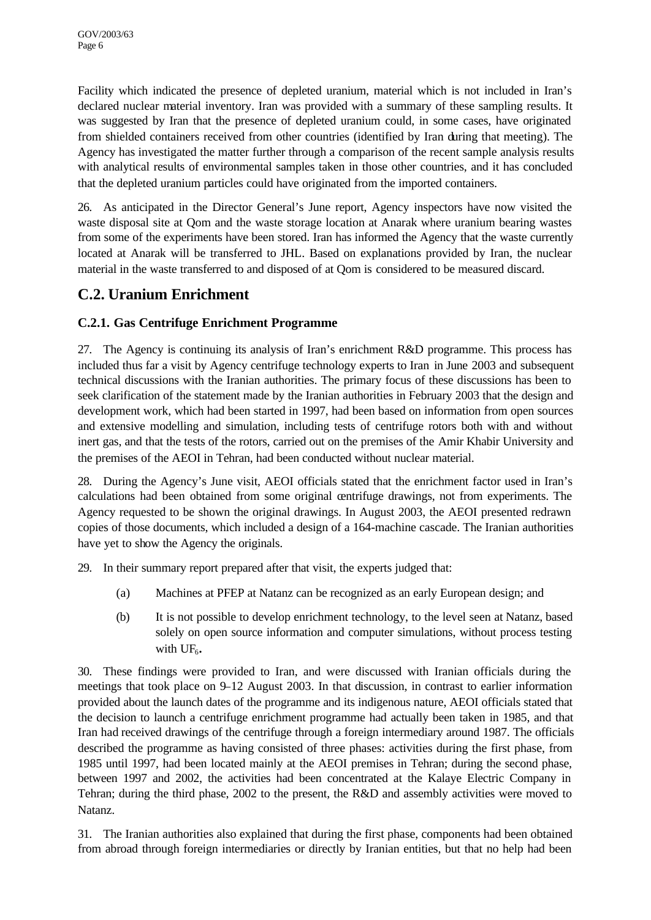Facility which indicated the presence of depleted uranium, material which is not included in Iran's declared nuclear material inventory. Iran was provided with a summary of these sampling results. It was suggested by Iran that the presence of depleted uranium could, in some cases, have originated from shielded containers received from other countries (identified by Iran during that meeting). The Agency has investigated the matter further through a comparison of the recent sample analysis results with analytical results of environmental samples taken in those other countries, and it has concluded that the depleted uranium particles could have originated from the imported containers.

26. As anticipated in the Director General's June report, Agency inspectors have now visited the waste disposal site at Qom and the waste storage location at Anarak where uranium bearing wastes from some of the experiments have been stored. Iran has informed the Agency that the waste currently located at Anarak will be transferred to JHL. Based on explanations provided by Iran, the nuclear material in the waste transferred to and disposed of at Qom is considered to be measured discard.

## **C.2. Uranium Enrichment**

### **C.2.1. Gas Centrifuge Enrichment Programme**

27. The Agency is continuing its analysis of Iran's enrichment R&D programme. This process has included thus far a visit by Agency centrifuge technology experts to Iran in June 2003 and subsequent technical discussions with the Iranian authorities. The primary focus of these discussions has been to seek clarification of the statement made by the Iranian authorities in February 2003 that the design and development work, which had been started in 1997, had been based on information from open sources and extensive modelling and simulation, including tests of centrifuge rotors both with and without inert gas, and that the tests of the rotors, carried out on the premises of the Amir Khabir University and the premises of the AEOI in Tehran, had been conducted without nuclear material.

28. During the Agency's June visit, AEOI officials stated that the enrichment factor used in Iran's calculations had been obtained from some original centrifuge drawings, not from experiments. The Agency requested to be shown the original drawings. In August 2003, the AEOI presented redrawn copies of those documents, which included a design of a 164-machine cascade. The Iranian authorities have yet to show the Agency the originals.

29. In their summary report prepared after that visit, the experts judged that:

- (a) Machines at PFEP at Natanz can be recognized as an early European design; and
- (b) It is not possible to develop enrichment technology, to the level seen at Natanz, based solely on open source information and computer simulations, without process testing with UF<sub>6</sub>.

30. These findings were provided to Iran, and were discussed with Iranian officials during the meetings that took place on 9–12 August 2003. In that discussion, in contrast to earlier information provided about the launch dates of the programme and its indigenous nature, AEOI officials stated that the decision to launch a centrifuge enrichment programme had actually been taken in 1985, and that Iran had received drawings of the centrifuge through a foreign intermediary around 1987. The officials described the programme as having consisted of three phases: activities during the first phase, from 1985 until 1997, had been located mainly at the AEOI premises in Tehran; during the second phase, between 1997 and 2002, the activities had been concentrated at the Kalaye Electric Company in Tehran; during the third phase, 2002 to the present, the R&D and assembly activities were moved to Natanz.

31. The Iranian authorities also explained that during the first phase, components had been obtained from abroad through foreign intermediaries or directly by Iranian entities, but that no help had been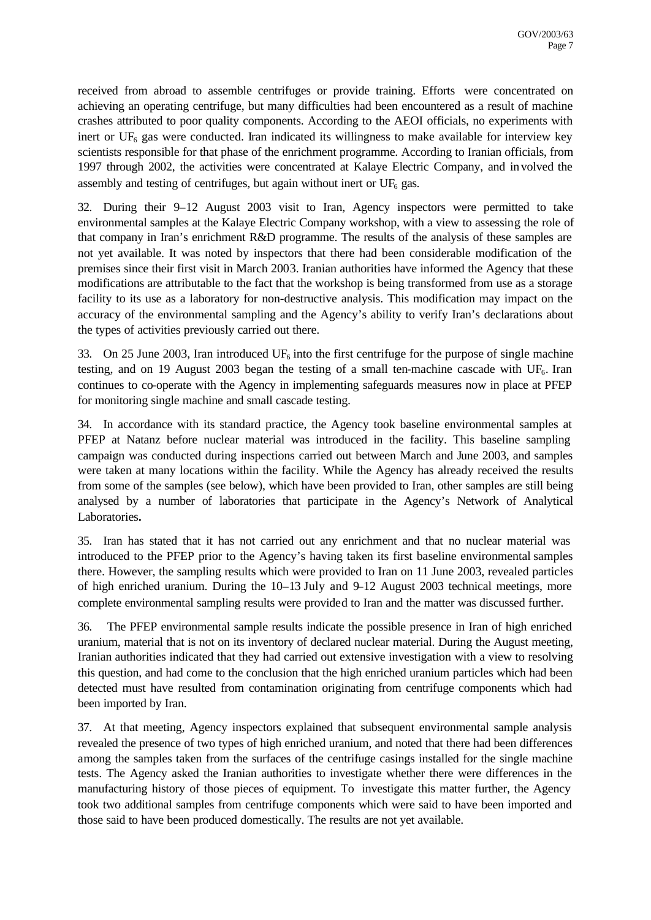received from abroad to assemble centrifuges or provide training. Efforts were concentrated on achieving an operating centrifuge, but many difficulties had been encountered as a result of machine crashes attributed to poor quality components. According to the AEOI officials, no experiments with inert or  $UF<sub>6</sub>$  gas were conducted. Iran indicated its willingness to make available for interview key scientists responsible for that phase of the enrichment programme. According to Iranian officials, from 1997 through 2002, the activities were concentrated at Kalaye Electric Company, and involved the assembly and testing of centrifuges, but again without inert or  $UF<sub>6</sub>$  gas.

32. During their 9–12 August 2003 visit to Iran, Agency inspectors were permitted to take environmental samples at the Kalaye Electric Company workshop, with a view to assessing the role of that company in Iran's enrichment R&D programme. The results of the analysis of these samples are not yet available. It was noted by inspectors that there had been considerable modification of the premises since their first visit in March 2003. Iranian authorities have informed the Agency that these modifications are attributable to the fact that the workshop is being transformed from use as a storage facility to its use as a laboratory for non-destructive analysis. This modification may impact on the accuracy of the environmental sampling and the Agency's ability to verify Iran's declarations about the types of activities previously carried out there.

33. On 25 June 2003, Iran introduced UF<sub>6</sub> into the first centrifuge for the purpose of single machine testing, and on 19 August 2003 began the testing of a small ten-machine cascade with  $UF_6$ . Iran continues to co-operate with the Agency in implementing safeguards measures now in place at PFEP for monitoring single machine and small cascade testing.

34. In accordance with its standard practice, the Agency took baseline environmental samples at PFEP at Natanz before nuclear material was introduced in the facility. This baseline sampling campaign was conducted during inspections carried out between March and June 2003, and samples were taken at many locations within the facility. While the Agency has already received the results from some of the samples (see below), which have been provided to Iran, other samples are still being analysed by a number of laboratories that participate in the Agency's Network of Analytical Laboratories**.**

35. Iran has stated that it has not carried out any enrichment and that no nuclear material was introduced to the PFEP prior to the Agency's having taken its first baseline environmental samples there. However, the sampling results which were provided to Iran on 11 June 2003, revealed particles of high enriched uranium. During the  $10-13$  July and  $9-12$  August 2003 technical meetings, more complete environmental sampling results were provided to Iran and the matter was discussed further.

36. The PFEP environmental sample results indicate the possible presence in Iran of high enriched uranium, material that is not on its inventory of declared nuclear material. During the August meeting, Iranian authorities indicated that they had carried out extensive investigation with a view to resolving this question, and had come to the conclusion that the high enriched uranium particles which had been detected must have resulted from contamination originating from centrifuge components which had been imported by Iran.

37. At that meeting, Agency inspectors explained that subsequent environmental sample analysis revealed the presence of two types of high enriched uranium, and noted that there had been differences among the samples taken from the surfaces of the centrifuge casings installed for the single machine tests. The Agency asked the Iranian authorities to investigate whether there were differences in the manufacturing history of those pieces of equipment. To investigate this matter further, the Agency took two additional samples from centrifuge components which were said to have been imported and those said to have been produced domestically. The results are not yet available.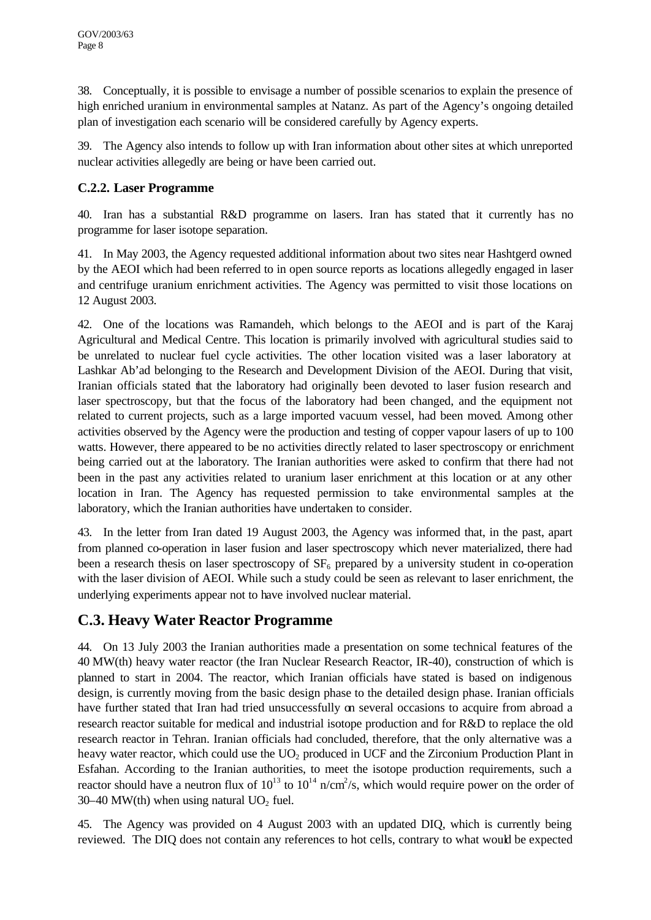38. Conceptually, it is possible to envisage a number of possible scenarios to explain the presence of high enriched uranium in environmental samples at Natanz. As part of the Agency's ongoing detailed plan of investigation each scenario will be considered carefully by Agency experts.

39. The Agency also intends to follow up with Iran information about other sites at which unreported nuclear activities allegedly are being or have been carried out.

#### **C.2.2. Laser Programme**

40. Iran has a substantial R&D programme on lasers. Iran has stated that it currently has no programme for laser isotope separation.

41. In May 2003, the Agency requested additional information about two sites near Hashtgerd owned by the AEOI which had been referred to in open source reports as locations allegedly engaged in laser and centrifuge uranium enrichment activities. The Agency was permitted to visit those locations on 12 August 2003.

42. One of the locations was Ramandeh, which belongs to the AEOI and is part of the Karaj Agricultural and Medical Centre. This location is primarily involved with agricultural studies said to be unrelated to nuclear fuel cycle activities. The other location visited was a laser laboratory at Lashkar Ab'ad belonging to the Research and Development Division of the AEOI. During that visit, Iranian officials stated that the laboratory had originally been devoted to laser fusion research and laser spectroscopy, but that the focus of the laboratory had been changed, and the equipment not related to current projects, such as a large imported vacuum vessel, had been moved. Among other activities observed by the Agency were the production and testing of copper vapour lasers of up to 100 watts. However, there appeared to be no activities directly related to laser spectroscopy or enrichment being carried out at the laboratory. The Iranian authorities were asked to confirm that there had not been in the past any activities related to uranium laser enrichment at this location or at any other location in Iran. The Agency has requested permission to take environmental samples at the laboratory, which the Iranian authorities have undertaken to consider.

43. In the letter from Iran dated 19 August 2003, the Agency was informed that, in the past, apart from planned co-operation in laser fusion and laser spectroscopy which never materialized, there had been a research thesis on laser spectroscopy of  $SF<sub>6</sub>$  prepared by a university student in co-operation with the laser division of AEOI. While such a study could be seen as relevant to laser enrichment, the underlying experiments appear not to have involved nuclear material.

## **C.3. Heavy Water Reactor Programme**

44. On 13 July 2003 the Iranian authorities made a presentation on some technical features of the 40 MW(th) heavy water reactor (the Iran Nuclear Research Reactor, IR-40), construction of which is planned to start in 2004. The reactor, which Iranian officials have stated is based on indigenous design, is currently moving from the basic design phase to the detailed design phase. Iranian officials have further stated that Iran had tried unsuccessfully on several occasions to acquire from abroad a research reactor suitable for medical and industrial isotope production and for R&D to replace the old research reactor in Tehran. Iranian officials had concluded, therefore, that the only alternative was a heavy water reactor, which could use the  $UO<sub>2</sub>$  produced in UCF and the Zirconium Production Plant in Esfahan. According to the Iranian authorities, to meet the isotope production requirements, such a reactor should have a neutron flux of  $10^{13}$  to  $10^{14}$  n/cm<sup>2</sup>/s, which would require power on the order of  $30-40$  MW(th) when using natural UO<sub>2</sub> fuel.

45. The Agency was provided on 4 August 2003 with an updated DIQ, which is currently being reviewed. The DIQ does not contain any references to hot cells, contrary to what would be expected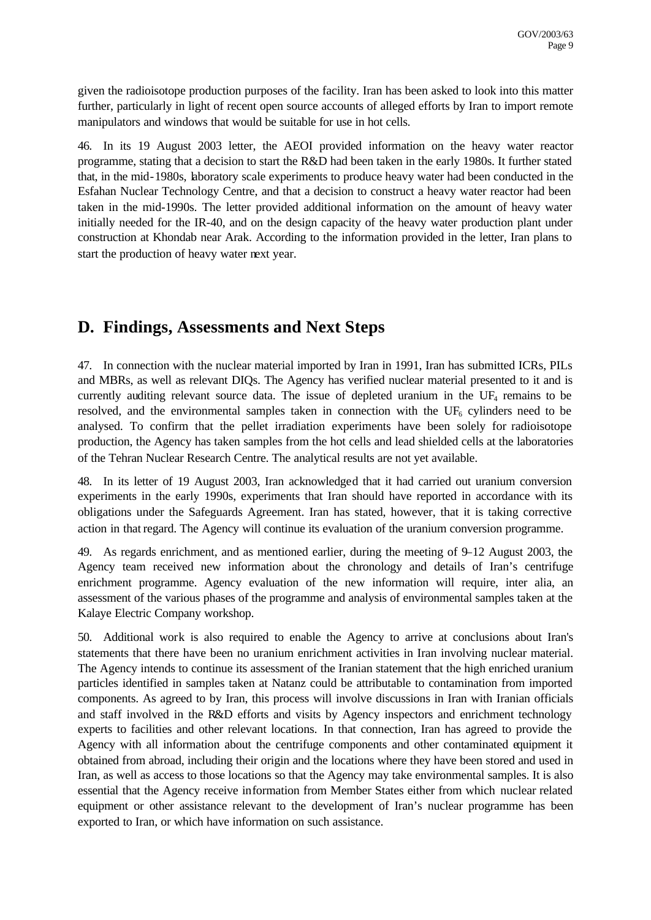given the radioisotope production purposes of the facility. Iran has been asked to look into this matter further, particularly in light of recent open source accounts of alleged efforts by Iran to import remote manipulators and windows that would be suitable for use in hot cells.

46. In its 19 August 2003 letter, the AEOI provided information on the heavy water reactor programme, stating that a decision to start the R&D had been taken in the early 1980s. It further stated that, in the mid-1980s, laboratory scale experiments to produce heavy water had been conducted in the Esfahan Nuclear Technology Centre, and that a decision to construct a heavy water reactor had been taken in the mid-1990s. The letter provided additional information on the amount of heavy water initially needed for the IR-40, and on the design capacity of the heavy water production plant under construction at Khondab near Arak. According to the information provided in the letter, Iran plans to start the production of heavy water next year.

## **D. Findings, Assessments and Next Steps**

47. In connection with the nuclear material imported by Iran in 1991, Iran has submitted ICRs, PILs and MBRs, as well as relevant DIQs. The Agency has verified nuclear material presented to it and is currently auditing relevant source data. The issue of depleted uranium in the  $UF_4$  remains to be resolved, and the environmental samples taken in connection with the  $UF_6$  cylinders need to be analysed. To confirm that the pellet irradiation experiments have been solely for radioisotope production, the Agency has taken samples from the hot cells and lead shielded cells at the laboratories of the Tehran Nuclear Research Centre. The analytical results are not yet available.

48. In its letter of 19 August 2003, Iran acknowledged that it had carried out uranium conversion experiments in the early 1990s, experiments that Iran should have reported in accordance with its obligations under the Safeguards Agreement. Iran has stated, however, that it is taking corrective action in that regard. The Agency will continue its evaluation of the uranium conversion programme.

49. As regards enrichment, and as mentioned earlier, during the meeting of 9–12 August 2003, the Agency team received new information about the chronology and details of Iran's centrifuge enrichment programme. Agency evaluation of the new information will require, inter alia, an assessment of the various phases of the programme and analysis of environmental samples taken at the Kalaye Electric Company workshop.

50. Additional work is also required to enable the Agency to arrive at conclusions about Iran's statements that there have been no uranium enrichment activities in Iran involving nuclear material. The Agency intends to continue its assessment of the Iranian statement that the high enriched uranium particles identified in samples taken at Natanz could be attributable to contamination from imported components. As agreed to by Iran, this process will involve discussions in Iran with Iranian officials and staff involved in the R&D efforts and visits by Agency inspectors and enrichment technology experts to facilities and other relevant locations. In that connection, Iran has agreed to provide the Agency with all information about the centrifuge components and other contaminated equipment it obtained from abroad, including their origin and the locations where they have been stored and used in Iran, as well as access to those locations so that the Agency may take environmental samples. It is also essential that the Agency receive information from Member States either from which nuclear related equipment or other assistance relevant to the development of Iran's nuclear programme has been exported to Iran, or which have information on such assistance.